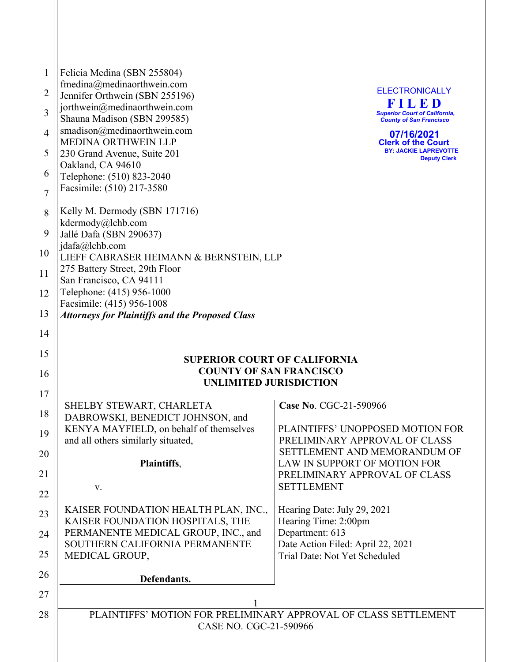| $\mathbf{1}$   | Felicia Medina (SBN 255804)                                                   |                                                                        |
|----------------|-------------------------------------------------------------------------------|------------------------------------------------------------------------|
|                | fmedina@medinaorthwein.com                                                    |                                                                        |
| $\overline{2}$ | Jennifer Orthwein (SBN 255196)                                                | <b>ELECTRONICALLY</b><br>FILED                                         |
| 3              | jorthwein@medinaorthwein.com<br>Shauna Madison (SBN 299585)                   | <b>Superior Court of California,</b><br><b>County of San Francisco</b> |
| $\overline{4}$ | smadison@medinaorthwein.com<br><b>MEDINA ORTHWEIN LLP</b>                     | 07/16/2021<br><b>Clerk of the Court</b>                                |
| 5              | 230 Grand Avenue, Suite 201<br>Oakland, CA 94610                              | <b>BY: JACKIE LAPREVOTTE</b><br><b>Deputy Clerk</b>                    |
| 6              | Telephone: (510) 823-2040<br>Facsimile: (510) 217-3580                        |                                                                        |
| $\overline{7}$ | Kelly M. Dermody (SBN 171716)                                                 |                                                                        |
| 8              | kdermody@lchb.com                                                             |                                                                        |
| 9              | Jallé Dafa (SBN 290637)<br>jdafa@lchb.com                                     |                                                                        |
| 10             | LIEFF CABRASER HEIMANN & BERNSTEIN, LLP                                       |                                                                        |
| 11             | 275 Battery Street, 29th Floor<br>San Francisco, CA 94111                     |                                                                        |
| 12             | Telephone: (415) 956-1000<br>Facsimile: (415) 956-1008                        |                                                                        |
| 13             | <b>Attorneys for Plaintiffs and the Proposed Class</b>                        |                                                                        |
| 14             |                                                                               |                                                                        |
| 15             | <b>SUPERIOR COURT OF CALIFORNIA</b>                                           |                                                                        |
| 16             | <b>COUNTY OF SAN FRANCISCO</b>                                                |                                                                        |
| 17             | <b>UNLIMITED JURISDICTION</b>                                                 |                                                                        |
|                | SHELBY STEWART, CHARLETA                                                      | Case No. CGC-21-590966                                                 |
| 18             | DABROWSKI, BENEDICT JOHNSON, and                                              |                                                                        |
| 19             | KENYA MAYFIELD, on behalf of themselves<br>and all others similarly situated, | PLAINTIFFS' UNOPPOSED MOTION FOR<br>PRELIMINARY APPROVAL OF CLASS      |
| 20             | Plaintiffs,                                                                   | SETTLEMENT AND MEMORANDUM OF<br>LAW IN SUPPORT OF MOTION FOR           |
| 21             |                                                                               | PRELIMINARY APPROVAL OF CLASS                                          |
| 22             | V.                                                                            | <b>SETTLEMENT</b>                                                      |
| 23             | KAISER FOUNDATION HEALTH PLAN, INC.,<br>KAISER FOUNDATION HOSPITALS, THE      | Hearing Date: July 29, 2021<br>Hearing Time: 2:00pm                    |
| 24             | PERMANENTE MEDICAL GROUP, INC., and                                           | Department: 613                                                        |
|                | SOUTHERN CALIFORNIA PERMANENTE                                                | Date Action Filed: April 22, 2021                                      |
| 25             | MEDICAL GROUP,                                                                | Trial Date: Not Yet Scheduled                                          |
| 26             | Defendants.                                                                   |                                                                        |
| 27             | $\mathbf{1}$                                                                  |                                                                        |
| 28             | PLAINTIFFS' MOTION FOR PRELIMINARY APPROVAL OF CLASS SETTLEMENT               |                                                                        |
|                | CASE NO. CGC-21-590966                                                        |                                                                        |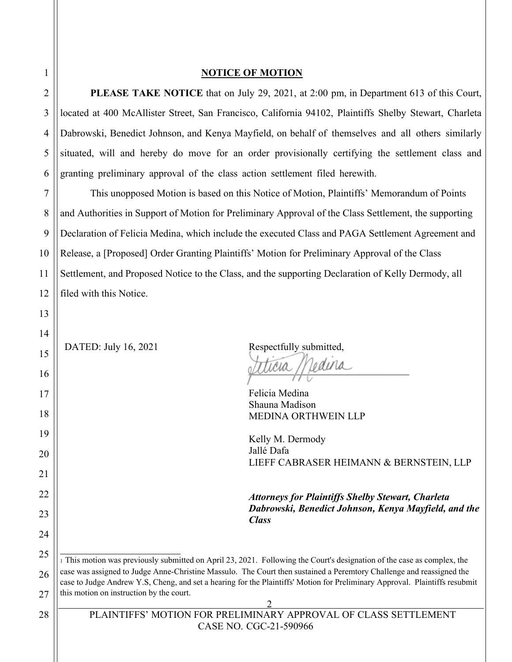#### **NOTICE OF MOTION**

**PLEASE TAKE NOTICE** that on July 29, 2021, at 2:00 pm, in Department 613 of this Court, located at 400 McAllister Street, San Francisco, California 94102, Plaintiffs Shelby Stewart, Charleta Dabrowski, Benedict Johnson, and Kenya Mayfield, on behalf of themselves and all others similarly situated, will and hereby do move for an order provisionally certifying the settlement class and granting preliminary approval of the class action settlement filed herewith.

7 8 9 10 11 12 This unopposed Motion is based on this Notice of Motion, Plaintiffs' Memorandum of Points and Authorities in Support of Motion for Preliminary Approval of the Class Settlement, the supporting Declaration of Felicia Medina, which include the executed Class and PAGA Settlement Agreement and Release, a [Proposed] Order Granting Plaintiffs' Motion for Preliminary Approval of the Class Settlement, and Proposed Notice to the Class, and the supporting Declaration of Kelly Dermody, all filed with this Notice.

DATED: July 16, 2021 Respectfully submitted, ticia Medina

Felicia Medina Shauna Madison MEDINA ORTHWEIN LLP

Kelly M. Dermody Jallé Dafa LIEFF CABRASER HEIMANN & BERNSTEIN, LLP

*Attorneys for Plaintiffs Shelby Stewart, Charleta Dabrowski, Benedict Johnson, Kenya Mayfield, and the Class*

25 26 27 <sup>1</sup> This motion was previously submitted on April 23, 2021. Following the Court's designation of the case as complex, the case was assigned to Judge Anne-Christine Massulo. The Court then sustained a Peremtory Challenge and reassigned the case to Judge Andrew Y.S, Cheng, and set a hearing for the Plaintiffs' Motion for Preliminary Approval. Plaintiffs resubmit this motion on instruction by the court.

1

2

3

4

5

6

13

14

15

16

17

18

19

20

21

22

23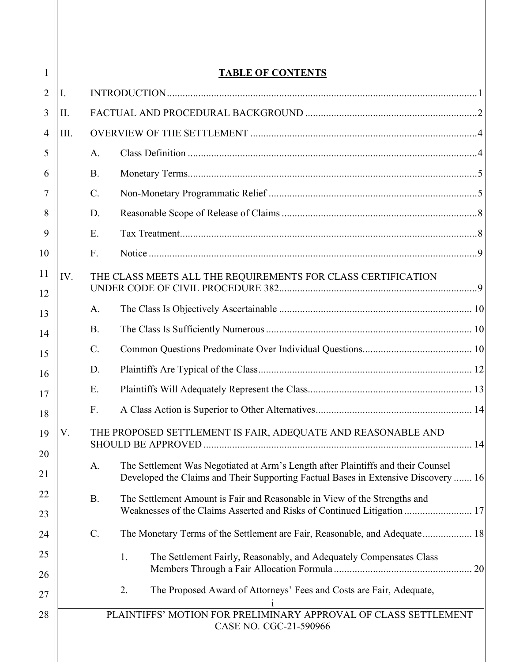| <b>TABLE OF CONTENTS</b> |                                                              |                                                                                                                                                                        |
|--------------------------|--------------------------------------------------------------|------------------------------------------------------------------------------------------------------------------------------------------------------------------------|
| Ι.                       |                                                              |                                                                                                                                                                        |
| II.                      |                                                              |                                                                                                                                                                        |
| III.                     |                                                              |                                                                                                                                                                        |
|                          | A.                                                           |                                                                                                                                                                        |
|                          | <b>B.</b>                                                    |                                                                                                                                                                        |
|                          | C.                                                           |                                                                                                                                                                        |
|                          | D.                                                           |                                                                                                                                                                        |
|                          | E.                                                           |                                                                                                                                                                        |
|                          | F.                                                           |                                                                                                                                                                        |
| IV.                      |                                                              | THE CLASS MEETS ALL THE REQUIREMENTS FOR CLASS CERTIFICATION                                                                                                           |
|                          | A.                                                           |                                                                                                                                                                        |
|                          | <b>B.</b>                                                    |                                                                                                                                                                        |
|                          | $C_{\cdot}$                                                  |                                                                                                                                                                        |
|                          | D.                                                           |                                                                                                                                                                        |
|                          | Ε.                                                           |                                                                                                                                                                        |
|                          | F.                                                           |                                                                                                                                                                        |
| V.                       | THE PROPOSED SETTLEMENT IS FAIR, ADEQUATE AND REASONABLE AND |                                                                                                                                                                        |
|                          | A.                                                           | The Settlement Was Negotiated at Arm's Length after Plaintiffs and their Counsel<br>Developed the Claims and Their Supporting Factual Bases in Extensive Discovery  16 |
|                          | <b>B.</b>                                                    | The Settlement Amount is Fair and Reasonable in View of the Strengths and<br>Weaknesses of the Claims Asserted and Risks of Continued Litigation  17                   |
|                          | $\mathcal{C}$ .                                              | The Monetary Terms of the Settlement are Fair, Reasonable, and Adequate 18                                                                                             |
|                          |                                                              | The Settlement Fairly, Reasonably, and Adequately Compensates Class<br>1.                                                                                              |
|                          |                                                              | The Proposed Award of Attorneys' Fees and Costs are Fair, Adequate,<br>2.                                                                                              |
|                          |                                                              | PLAINTIFFS' MOTION FOR PRELIMINARY APPROVAL OF CLASS SETTLEMENT<br>CASE NO. CGC-21-590966                                                                              |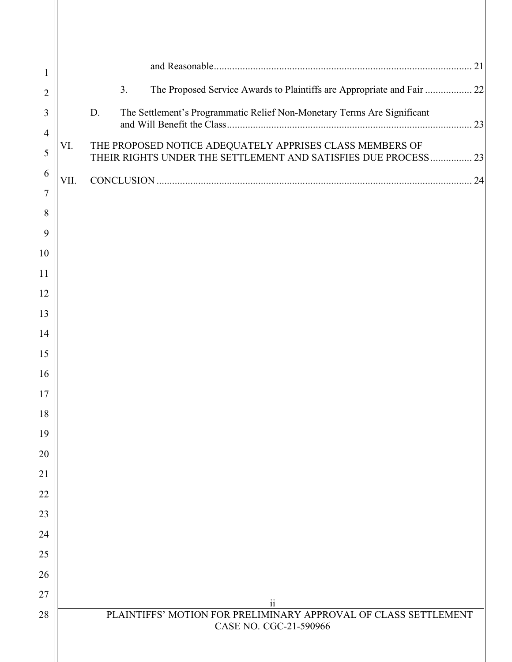| 1              |      |                                                                                                                            |
|----------------|------|----------------------------------------------------------------------------------------------------------------------------|
| $\overline{2}$ |      | The Proposed Service Awards to Plaintiffs are Appropriate and Fair  22<br>3.                                               |
| 3              |      | D.<br>The Settlement's Programmatic Relief Non-Monetary Terms Are Significant                                              |
| $\overline{4}$ |      |                                                                                                                            |
| 5              | VI.  | THE PROPOSED NOTICE ADEQUATELY APPRISES CLASS MEMBERS OF<br>THEIR RIGHTS UNDER THE SETTLEMENT AND SATISFIES DUE PROCESS 23 |
| 6              | VII. |                                                                                                                            |
| $\tau$         |      |                                                                                                                            |
| 8<br>9         |      |                                                                                                                            |
| 10             |      |                                                                                                                            |
| 11             |      |                                                                                                                            |
| 12             |      |                                                                                                                            |
| 13             |      |                                                                                                                            |
| 14             |      |                                                                                                                            |
| 15             |      |                                                                                                                            |
| 16             |      |                                                                                                                            |
| 17             |      |                                                                                                                            |
| 18             |      |                                                                                                                            |
| 19             |      |                                                                                                                            |
| 20             |      |                                                                                                                            |
| 21             |      |                                                                                                                            |
| 22<br>23       |      |                                                                                                                            |
| 24             |      |                                                                                                                            |
| 25             |      |                                                                                                                            |
| 26             |      |                                                                                                                            |
| 27             |      |                                                                                                                            |
| 28             |      | $\ddot{i}$<br>PLAINTIFFS' MOTION FOR PRELIMINARY APPROVAL OF CLASS SETTLEMENT                                              |
|                |      | CASE NO. CGC-21-590966                                                                                                     |
|                |      |                                                                                                                            |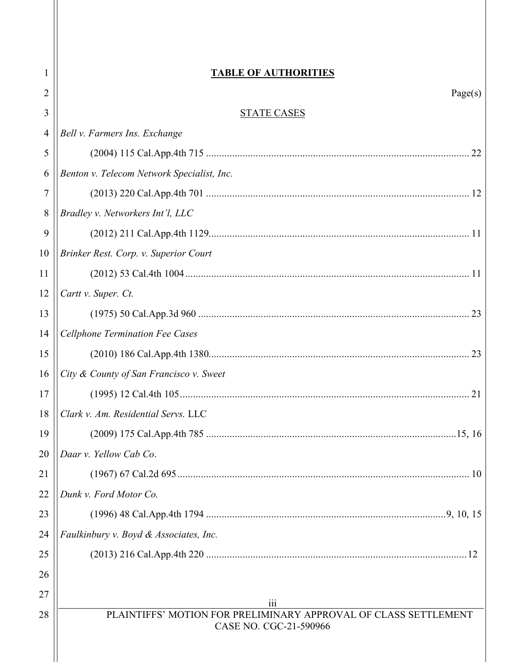| 1              | <b>TABLE OF AUTHORITIES</b>                                            |
|----------------|------------------------------------------------------------------------|
| 2              | Page(s)                                                                |
| 3              | <b>STATE CASES</b>                                                     |
| $\overline{4}$ | Bell v. Farmers Ins. Exchange                                          |
| 5              |                                                                        |
| 6              | Benton v. Telecom Network Specialist, Inc.                             |
| 7              |                                                                        |
| 8              | Bradley v. Networkers Int'l, LLC                                       |
| 9              |                                                                        |
| 10             | Brinker Rest. Corp. v. Superior Court                                  |
| 11             |                                                                        |
| 12             | Cartt v. Super. Ct.                                                    |
| 13             |                                                                        |
| 14             | <b>Cellphone Termination Fee Cases</b>                                 |
| 15             |                                                                        |
| 16             | City & County of San Francisco v. Sweet                                |
| 17             |                                                                        |
| 18             | Clark v. Am. Residential Servs. LLC                                    |
| 19             |                                                                        |
| 20             | Daar v. Yellow Cab Co.                                                 |
| 21             |                                                                        |
| 22             | Dunk v. Ford Motor Co.                                                 |
| 23             |                                                                        |
| 24             | Faulkinbury v. Boyd & Associates, Inc.                                 |
| 25             |                                                                        |
| 26             |                                                                        |
| 27             |                                                                        |
| 28             | iii<br>PLAINTIFFS' MOTION FOR PRELIMINARY APPROVAL OF CLASS SETTLEMENT |
|                | CASE NO. CGC-21-590966                                                 |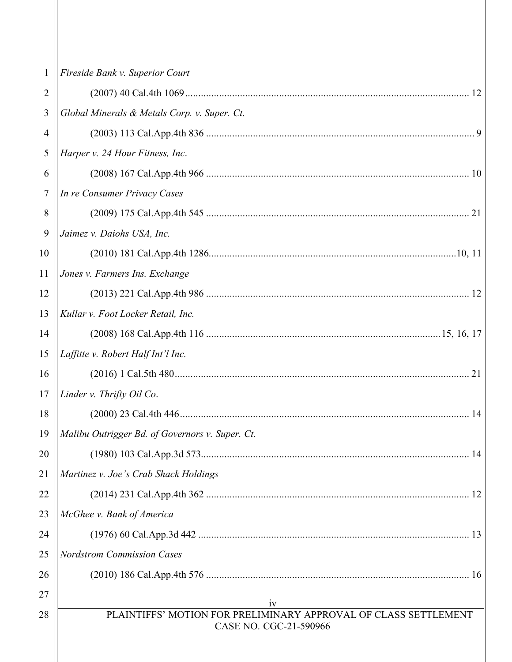| $\mathbf{1}$ | Fireside Bank v. Superior Court                                 |
|--------------|-----------------------------------------------------------------|
|              |                                                                 |
| 2            |                                                                 |
| 3            | Global Minerals & Metals Corp. v. Super. Ct.                    |
| 4            |                                                                 |
| 5            | Harper v. 24 Hour Fitness, Inc.                                 |
| 6            |                                                                 |
| 7            | In re Consumer Privacy Cases                                    |
| 8            |                                                                 |
| 9            | Jaimez v. Daiohs USA, Inc.                                      |
| 10           |                                                                 |
| 11           | Jones v. Farmers Ins. Exchange                                  |
| 12           |                                                                 |
| 13           | Kullar v. Foot Locker Retail, Inc.                              |
| 14           |                                                                 |
| 15           | Laffitte v. Robert Half Int'l Inc.                              |
| 16           |                                                                 |
| 17           | Linder v. Thrifty Oil Co.                                       |
| 18           | 14                                                              |
| 19           | Malibu Outrigger Bd. of Governors v. Super. Ct.                 |
| 20           |                                                                 |
| 21           | Martinez v. Joe's Crab Shack Holdings                           |
| 22           |                                                                 |
| 23           | McGhee v. Bank of America                                       |
| 24           |                                                                 |
| 25           | <b>Nordstrom Commission Cases</b>                               |
| 26           |                                                                 |
| 27           | 1V                                                              |
| 28           | PLAINTIFFS' MOTION FOR PRELIMINARY APPROVAL OF CLASS SETTLEMENT |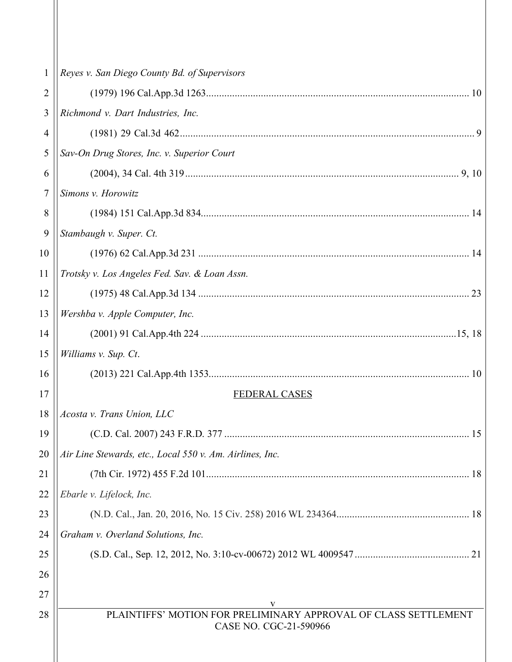| $\mathbf{1}$     | Reyes v. San Diego County Bd. of Supervisors                                              |  |
|------------------|-------------------------------------------------------------------------------------------|--|
| 2                |                                                                                           |  |
| 3                | Richmond v. Dart Industries, Inc.                                                         |  |
| $\overline{4}$   |                                                                                           |  |
| $\mathfrak s$    | Sav-On Drug Stores, Inc. v. Superior Court                                                |  |
| 6                |                                                                                           |  |
| $\boldsymbol{7}$ | Simons v. Horowitz                                                                        |  |
| 8                |                                                                                           |  |
| 9                | Stambaugh v. Super. Ct.                                                                   |  |
| 10               |                                                                                           |  |
| 11               | Trotsky v. Los Angeles Fed. Sav. & Loan Assn.                                             |  |
| 12               |                                                                                           |  |
| 13               | Wershba v. Apple Computer, Inc.                                                           |  |
| 14               |                                                                                           |  |
| 15               | Williams v. Sup. Ct.                                                                      |  |
| 16               |                                                                                           |  |
| 17               | FEDERAL CASES                                                                             |  |
| 18               | Acosta v. Trans Union, LLC                                                                |  |
| 19               |                                                                                           |  |
| 20               | Air Line Stewards, etc., Local 550 v. Am. Airlines, Inc.                                  |  |
| 21               |                                                                                           |  |
| 22               | Ebarle v. Lifelock, Inc.                                                                  |  |
| 23               |                                                                                           |  |
| 24               | Graham v. Overland Solutions, Inc.                                                        |  |
| 25               |                                                                                           |  |
| 26               |                                                                                           |  |
| 27               | v                                                                                         |  |
| 28               | PLAINTIFFS' MOTION FOR PRELIMINARY APPROVAL OF CLASS SETTLEMENT<br>CASE NO. CGC-21-590966 |  |
|                  |                                                                                           |  |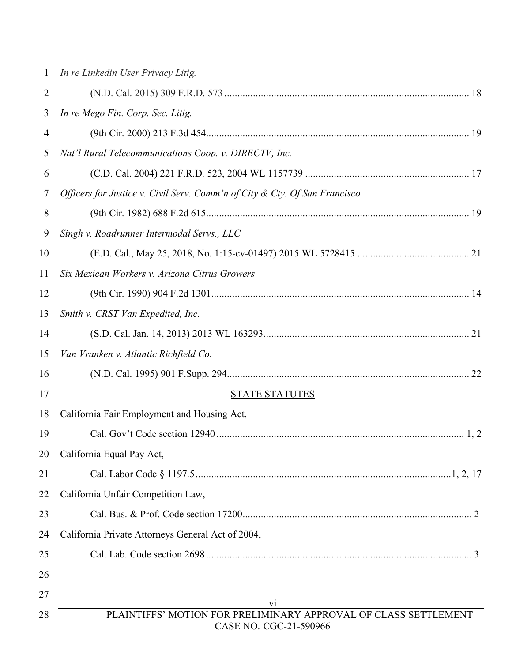| 1  | In re Linkedin User Privacy Litig.                                                        |  |
|----|-------------------------------------------------------------------------------------------|--|
| 2  |                                                                                           |  |
| 3  | In re Mego Fin. Corp. Sec. Litig.                                                         |  |
| 4  |                                                                                           |  |
| 5  | Nat'l Rural Telecommunications Coop. v. DIRECTV, Inc.                                     |  |
| 6  |                                                                                           |  |
| 7  | Officers for Justice v. Civil Serv. Comm'n of City & Cty. Of San Francisco                |  |
| 8  |                                                                                           |  |
| 9  | Singh v. Roadrunner Intermodal Servs., LLC                                                |  |
| 10 |                                                                                           |  |
| 11 | Six Mexican Workers v. Arizona Citrus Growers                                             |  |
| 12 |                                                                                           |  |
| 13 | Smith v. CRST Van Expedited, Inc.                                                         |  |
| 14 |                                                                                           |  |
| 15 | Van Vranken v. Atlantic Richfield Co.                                                     |  |
| 16 | 22                                                                                        |  |
| 17 | <b>STATE STATUTES</b>                                                                     |  |
| 18 | California Fair Employment and Housing Act,                                               |  |
| 19 |                                                                                           |  |
| 20 | California Equal Pay Act,                                                                 |  |
| 21 |                                                                                           |  |
| 22 | California Unfair Competition Law,                                                        |  |
| 23 |                                                                                           |  |
| 24 | California Private Attorneys General Act of 2004,                                         |  |
| 25 |                                                                                           |  |
| 26 |                                                                                           |  |
| 27 | vi                                                                                        |  |
| 28 | PLAINTIFFS' MOTION FOR PRELIMINARY APPROVAL OF CLASS SETTLEMENT<br>CASE NO. CGC-21-590966 |  |
|    |                                                                                           |  |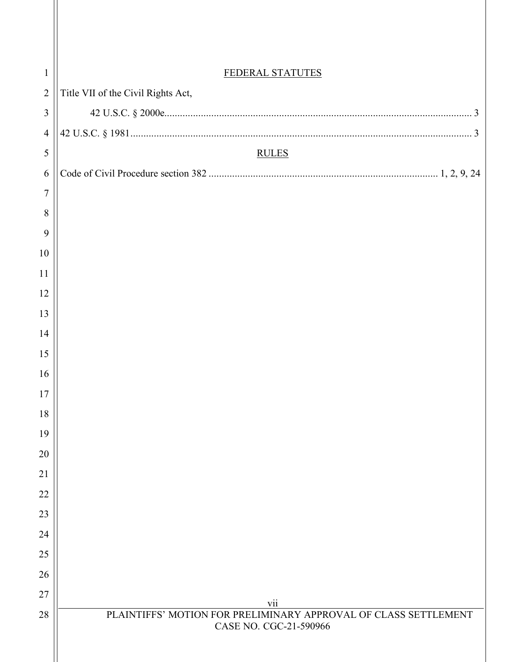| $\mathbf{1}$   | FEDERAL STATUTES                                                       |
|----------------|------------------------------------------------------------------------|
| $\overline{2}$ | Title VII of the Civil Rights Act,                                     |
| 3              |                                                                        |
| $\overline{4}$ |                                                                        |
| 5              | <b>RULES</b>                                                           |
| 6              |                                                                        |
| $\overline{7}$ |                                                                        |
| 8              |                                                                        |
| 9              |                                                                        |
| $10\,$         |                                                                        |
| 11             |                                                                        |
| 12             |                                                                        |
| 13             |                                                                        |
| 14             |                                                                        |
| 15             |                                                                        |
| 16             |                                                                        |
| 17             |                                                                        |
| 18             |                                                                        |
| 19<br>20       |                                                                        |
| 21             |                                                                        |
| 22             |                                                                        |
| 23             |                                                                        |
| 24             |                                                                        |
| 25             |                                                                        |
| 26             |                                                                        |
| 27             |                                                                        |
| 28             | vii<br>PLAINTIFFS' MOTION FOR PRELIMINARY APPROVAL OF CLASS SETTLEMENT |
|                | CASE NO. CGC-21-590966                                                 |
|                |                                                                        |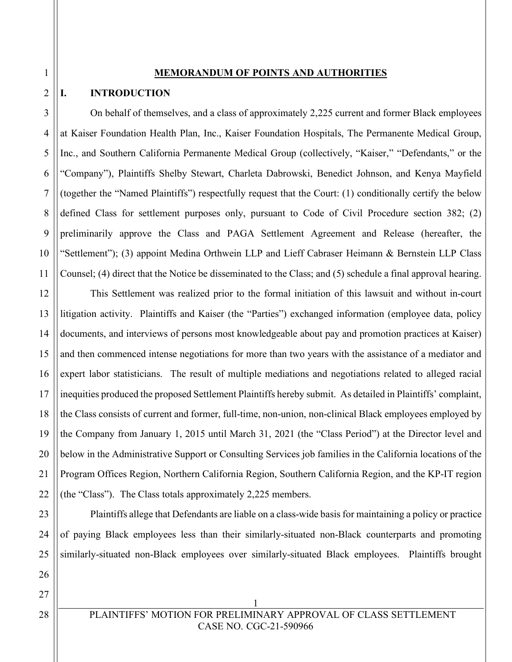#### **MEMORANDUM OF POINTS AND AUTHORITIES**

#### **I. INTRODUCTION**

On behalf of themselves, and a class of approximately 2,225 current and former Black employees at Kaiser Foundation Health Plan, Inc., Kaiser Foundation Hospitals, The Permanente Medical Group, Inc., and Southern California Permanente Medical Group (collectively, "Kaiser," "Defendants," or the "Company"), Plaintiffs Shelby Stewart, Charleta Dabrowski, Benedict Johnson, and Kenya Mayfield (together the "Named Plaintiffs") respectfully request that the Court: (1) conditionally certify the below defined Class for settlement purposes only, pursuant to Code of Civil Procedure section 382; (2) preliminarily approve the Class and PAGA Settlement Agreement and Release (hereafter, the "Settlement"); (3) appoint Medina Orthwein LLP and Lieff Cabraser Heimann & Bernstein LLP Class Counsel; (4) direct that the Notice be disseminated to the Class; and (5) schedule a final approval hearing.

12 13 14 15 16 17 18 19 20 21 22 This Settlement was realized prior to the formal initiation of this lawsuit and without in-court litigation activity. Plaintiffs and Kaiser (the "Parties") exchanged information (employee data, policy documents, and interviews of persons most knowledgeable about pay and promotion practices at Kaiser) and then commenced intense negotiations for more than two years with the assistance of a mediator and expert labor statisticians. The result of multiple mediations and negotiations related to alleged racial inequities produced the proposed Settlement Plaintiffs hereby submit. As detailed in Plaintiffs' complaint, the Class consists of current and former, full-time, non-union, non-clinical Black employees employed by the Company from January 1, 2015 until March 31, 2021 (the "Class Period") at the Director level and below in the Administrative Support or Consulting Services job families in the California locations of the Program Offices Region, Northern California Region, Southern California Region, and the KP-IT region (the "Class"). The Class totals approximately 2,225 members.

Plaintiffs allege that Defendants are liable on a class-wide basis for maintaining a policy or practice of paying Black employees less than their similarly-situated non-Black counterparts and promoting similarly-situated non-Black employees over similarly-situated Black employees. Plaintiffs brought

28

3

4

5

6

7

8

9

10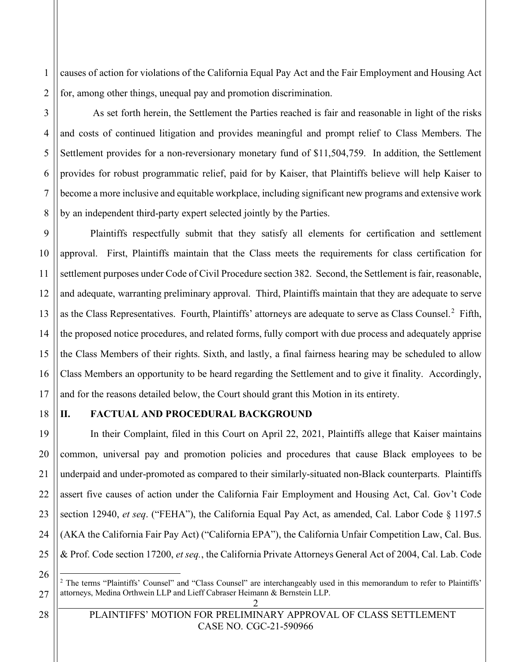causes of action for violations of the California Equal Pay Act and the Fair Employment and Housing Act for, among other things, unequal pay and promotion discrimination.

2 3

4

5

6

7

8

9

10

11

12

13

15

16

17

1

As set forth herein, the Settlement the Parties reached is fair and reasonable in light of the risks and costs of continued litigation and provides meaningful and prompt relief to Class Members. The Settlement provides for a non-reversionary monetary fund of \$11,504,759. In addition, the Settlement provides for robust programmatic relief, paid for by Kaiser, that Plaintiffs believe will help Kaiser to become a more inclusive and equitable workplace, including significant new programs and extensive work by an independent third-party expert selected jointly by the Parties.

14 Plaintiffs respectfully submit that they satisfy all elements for certification and settlement approval. First, Plaintiffs maintain that the Class meets the requirements for class certification for settlement purposes under Code of Civil Procedure section 382. Second, the Settlement is fair, reasonable, and adequate, warranting preliminary approval. Third, Plaintiffs maintain that they are adequate to serve as the Class Representatives. Fourth, Plaintiffs' attorneys are adequate to serve as Class Counsel.<sup>2</sup> Fifth, the proposed notice procedures, and related forms, fully comport with due process and adequately apprise the Class Members of their rights. Sixth, and lastly, a final fairness hearing may be scheduled to allow Class Members an opportunity to be heard regarding the Settlement and to give it finality. Accordingly, and for the reasons detailed below, the Court should grant this Motion in its entirety.

18

19

20

21

22

23

24

25

### **II. FACTUAL AND PROCEDURAL BACKGROUND**

In their Complaint, filed in this Court on April 22, 2021, Plaintiffs allege that Kaiser maintains common, universal pay and promotion policies and procedures that cause Black employees to be underpaid and under-promoted as compared to their similarly-situated non-Black counterparts. Plaintiffs assert five causes of action under the California Fair Employment and Housing Act, Cal. Gov't Code section 12940, *et seq*. ("FEHA"), the California Equal Pay Act, as amended, Cal. Labor Code § 1197.5 (AKA the California Fair Pay Act) ("California EPA"), the California Unfair Competition Law, Cal. Bus. & Prof. Code section 17200, *et seq.*, the California Private Attorneys General Act of 2004, Cal. Lab. Code

26

28

<sup>2</sup> <sup>2</sup> The terms "Plaintiffs' Counsel" and "Class Counsel" are interchangeably used in this memorandum to refer to Plaintiffs' attorneys, Medina Orthwein LLP and Lieff Cabraser Heimann & Bernstein LLP.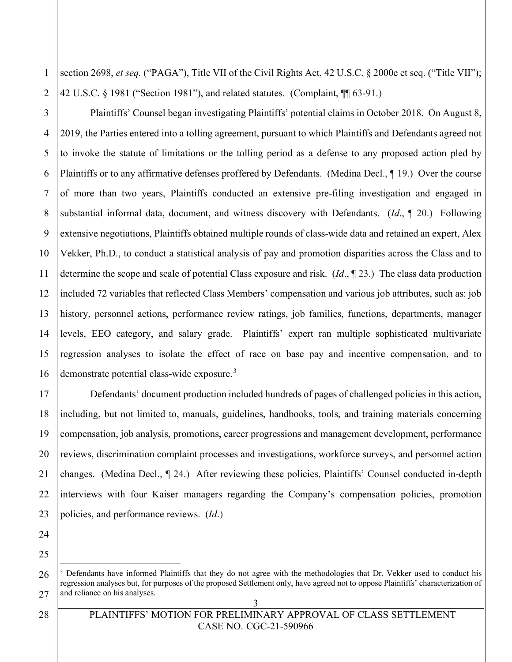1 2 section 2698, *et seq.* ("PAGA"), Title VII of the Civil Rights Act, 42 U.S.C. § 2000e et seq. ("Title VII"); 42 U.S.C. § 1981 ("Section 1981"), and related statutes. (Complaint, ¶¶ 63-91.)

Plaintiffs' Counsel began investigating Plaintiffs' potential claims in October 2018. On August 8, 2019, the Parties entered into a tolling agreement, pursuant to which Plaintiffs and Defendants agreed not to invoke the statute of limitations or the tolling period as a defense to any proposed action pled by Plaintiffs or to any affirmative defenses proffered by Defendants. (Medina Decl., ¶ 19.) Over the course of more than two years, Plaintiffs conducted an extensive pre-filing investigation and engaged in substantial informal data, document, and witness discovery with Defendants. (*Id*., ¶ 20.) Following extensive negotiations, Plaintiffs obtained multiple rounds of class-wide data and retained an expert, Alex Vekker, Ph.D., to conduct a statistical analysis of pay and promotion disparities across the Class and to determine the scope and scale of potential Class exposure and risk. (*Id*., ¶ 23.) The class data production included 72 variables that reflected Class Members' compensation and various job attributes, such as: job history, personnel actions, performance review ratings, job families, functions, departments, manager levels, EEO category, and salary grade. Plaintiffs' expert ran multiple sophisticated multivariate regression analyses to isolate the effect of race on base pay and incentive compensation, and to demonstrate potential class-wide exposure.<sup>3</sup>

Defendants' document production included hundreds of pages of challenged policies in this action, including, but not limited to, manuals, guidelines, handbooks, tools, and training materials concerning compensation, job analysis, promotions, career progressions and management development, performance reviews, discrimination complaint processes and investigations, workforce surveys, and personnel action changes. (Medina Decl., ¶ 24.) After reviewing these policies, Plaintiffs' Counsel conducted in-depth interviews with four Kaiser managers regarding the Company's compensation policies, promotion policies, and performance reviews. (*Id*.)

28

3

4

5

6

7

8

9

10

11

12

13

14

15

16

17

18

19

20

21

 $3$  Defendants have informed Plaintiffs that they do not agree with the methodologies that Dr. Vekker used to conduct his regression analyses but, for purposes of the proposed Settlement only, have agreed not to oppose Plaintiffs' characterization of and reliance on his analyses.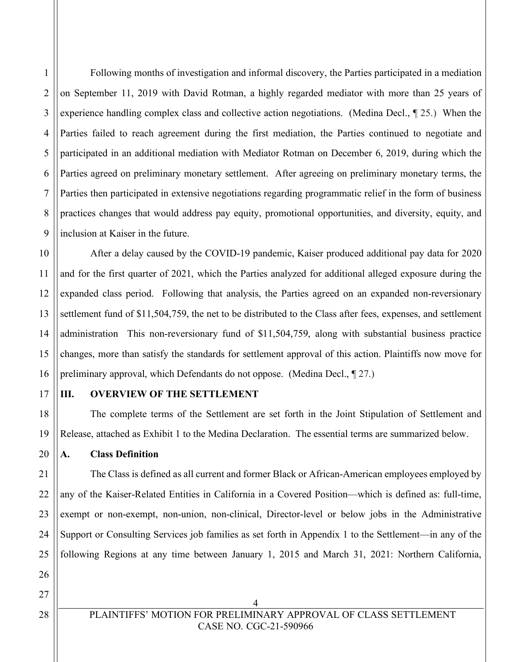Following months of investigation and informal discovery, the Parties participated in a mediation on September 11, 2019 with David Rotman, a highly regarded mediator with more than 25 years of experience handling complex class and collective action negotiations. (Medina Decl., ¶ 25.) When the Parties failed to reach agreement during the first mediation, the Parties continued to negotiate and participated in an additional mediation with Mediator Rotman on December 6, 2019, during which the Parties agreed on preliminary monetary settlement. After agreeing on preliminary monetary terms, the Parties then participated in extensive negotiations regarding programmatic relief in the form of business practices changes that would address pay equity, promotional opportunities, and diversity, equity, and inclusion at Kaiser in the future.

10 11 12 13 14 15 16 After a delay caused by the COVID-19 pandemic, Kaiser produced additional pay data for 2020 and for the first quarter of 2021, which the Parties analyzed for additional alleged exposure during the expanded class period. Following that analysis, the Parties agreed on an expanded non-reversionary settlement fund of \$11,504,759, the net to be distributed to the Class after fees, expenses, and settlement administration This non-reversionary fund of \$11,504,759, along with substantial business practice changes, more than satisfy the standards for settlement approval of this action. Plaintiffs now move for preliminary approval, which Defendants do not oppose. (Medina Decl., ¶ 27.)

17 18

19

20

21

22

23

24

25

1

2

3

4

5

6

7

8

9

#### **III. OVERVIEW OF THE SETTLEMENT**

The complete terms of the Settlement are set forth in the Joint Stipulation of Settlement and Release, attached as Exhibit 1 to the Medina Declaration. The essential terms are summarized below.

**A. Class Definition**

The Class is defined as all current and former Black or African-American employees employed by any of the Kaiser-Related Entities in California in a Covered Position—which is defined as: full-time, exempt or non-exempt, non-union, non-clinical, Director-level or below jobs in the Administrative Support or Consulting Services job families as set forth in Appendix 1 to the Settlement—in any of the following Regions at any time between January 1, 2015 and March 31, 2021: Northern California,

27

28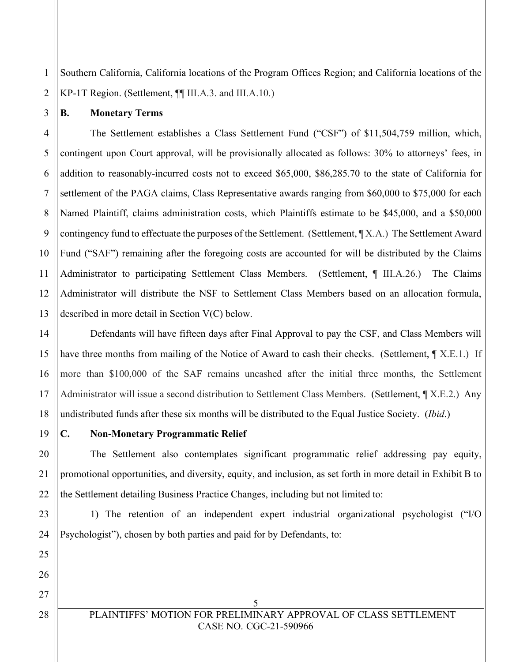1 2 Southern California, California locations of the Program Offices Region; and California locations of the KP-1T Region. (Settlement, ¶¶ III.A.3. and III.A.10.)

**B. Monetary Terms**

3

4 5 6 7 8 9 10 11 12 13 The Settlement establishes a Class Settlement Fund ("CSF") of \$11,504,759 million, which, contingent upon Court approval, will be provisionally allocated as follows: 30% to attorneys' fees, in addition to reasonably-incurred costs not to exceed \$65,000, \$86,285.70 to the state of California for settlement of the PAGA claims, Class Representative awards ranging from \$60,000 to \$75,000 for each Named Plaintiff, claims administration costs, which Plaintiffs estimate to be \$45,000, and a \$50,000 contingency fund to effectuate the purposes of the Settlement. (Settlement, ¶ X.A.) The Settlement Award Fund ("SAF") remaining after the foregoing costs are accounted for will be distributed by the Claims Administrator to participating Settlement Class Members. (Settlement, ¶ III.A.26.) The Claims Administrator will distribute the NSF to Settlement Class Members based on an allocation formula, described in more detail in Section V(C) below.

14 15 16 17 18 Defendants will have fifteen days after Final Approval to pay the CSF, and Class Members will have three months from mailing of the Notice of Award to cash their checks. (Settlement,  $\parallel$  X.E.1.) If more than \$100,000 of the SAF remains uncashed after the initial three months, the Settlement Administrator will issue a second distribution to Settlement Class Members. (Settlement, ¶ X.E.2.) Any undistributed funds after these six months will be distributed to the Equal Justice Society. (*Ibid*.)

19

20

21

22

25

26

27

### **C. Non-Monetary Programmatic Relief**

The Settlement also contemplates significant programmatic relief addressing pay equity, promotional opportunities, and diversity, equity, and inclusion, as set forth in more detail in Exhibit B to the Settlement detailing Business Practice Changes, including but not limited to:

23 24 1) The retention of an independent expert industrial organizational psychologist ("I/O Psychologist"), chosen by both parties and paid for by Defendants, to:

28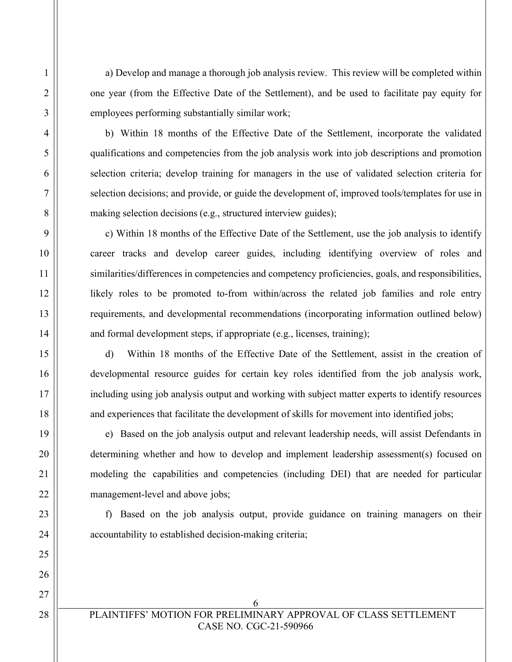a) Develop and manage a thorough job analysis review. This review will be completed within one year (from the Effective Date of the Settlement), and be used to facilitate pay equity for employees performing substantially similar work;

b) Within 18 months of the Effective Date of the Settlement, incorporate the validated qualifications and competencies from the job analysis work into job descriptions and promotion selection criteria; develop training for managers in the use of validated selection criteria for selection decisions; and provide, or guide the development of, improved tools/templates for use in making selection decisions (e.g., structured interview guides);

c) Within 18 months of the Effective Date of the Settlement, use the job analysis to identify career tracks and develop career guides, including identifying overview of roles and similarities/differences in competencies and competency proficiencies, goals, and responsibilities, likely roles to be promoted to-from within/across the related job families and role entry requirements, and developmental recommendations (incorporating information outlined below) and formal development steps, if appropriate (e.g., licenses, training);

d) Within 18 months of the Effective Date of the Settlement, assist in the creation of developmental resource guides for certain key roles identified from the job analysis work, including using job analysis output and working with subject matter experts to identify resources and experiences that facilitate the development of skills for movement into identified jobs;

e) Based on the job analysis output and relevant leadership needs, will assist Defendants in determining whether and how to develop and implement leadership assessment(s) focused on modeling the capabilities and competencies (including DEI) that are needed for particular management-level and above jobs;

f) Based on the job analysis output, provide guidance on training managers on their accountability to established decision-making criteria;

1

6 PLAINTIFFS' MOTION FOR PRELIMINARY APPROVAL OF CLASS SETTLEMENT CASE NO. CGC-21-590966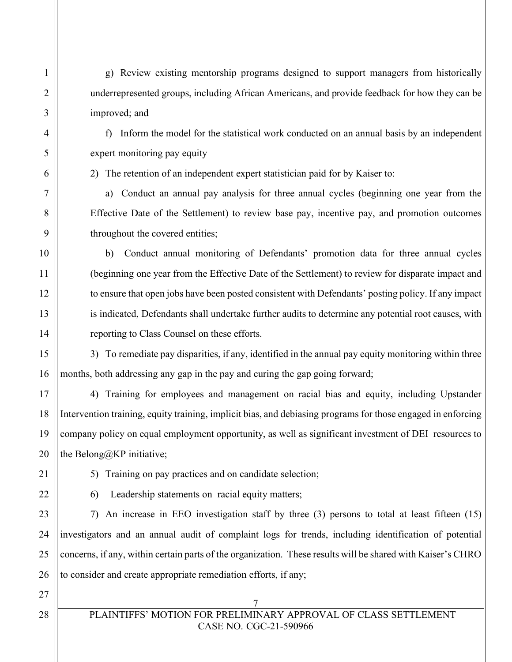g) Review existing mentorship programs designed to support managers from historically underrepresented groups, including African Americans, and provide feedback for how they can be improved; and

f) Inform the model for the statistical work conducted on an annual basis by an independent expert monitoring pay equity

2) The retention of an independent expert statistician paid for by Kaiser to:

a) Conduct an annual pay analysis for three annual cycles (beginning one year from the Effective Date of the Settlement) to review base pay, incentive pay, and promotion outcomes throughout the covered entities;

b) Conduct annual monitoring of Defendants' promotion data for three annual cycles (beginning one year from the Effective Date of the Settlement) to review for disparate impact and to ensure that open jobs have been posted consistent with Defendants' posting policy. If any impact is indicated, Defendants shall undertake further audits to determine any potential root causes, with reporting to Class Counsel on these efforts.

3) To remediate pay disparities, if any, identified in the annual pay equity monitoring within three months, both addressing any gap in the pay and curing the gap going forward;

4) Training for employees and management on racial bias and equity, including Upstander Intervention training, equity training, implicit bias, and debiasing programs for those engaged in enforcing company policy on equal employment opportunity, as well as significant investment of DEI resources to the Belong@KP initiative;

6) Leadership statements on racial equity matters;

5) Training on pay practices and on candidate selection;

7) An increase in EEO investigation staff by three (3) persons to total at least fifteen (15) investigators and an annual audit of complaint logs for trends, including identification of potential concerns, if any, within certain parts of the organization. These results will be shared with Kaiser's CHRO to consider and create appropriate remediation efforts, if any;

PLAINTIFFS' MOTION FOR PRELIMINARY APPROVAL OF CLASS SETTLEMENT CASE NO. CGC-21-590966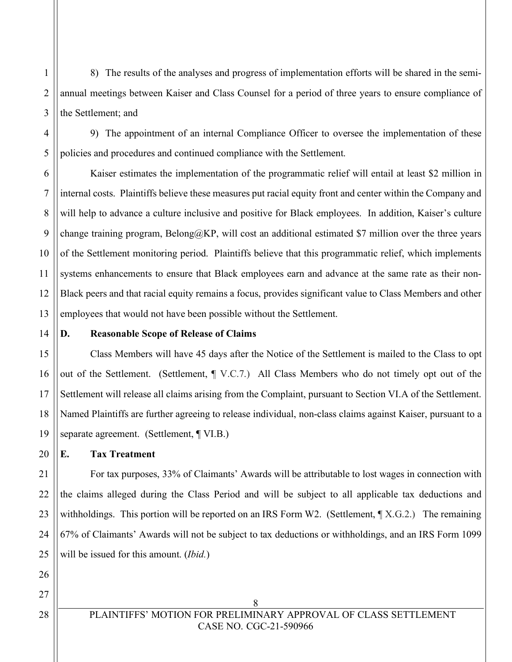8) The results of the analyses and progress of implementation efforts will be shared in the semiannual meetings between Kaiser and Class Counsel for a period of three years to ensure compliance of the Settlement; and

9) The appointment of an internal Compliance Officer to oversee the implementation of these policies and procedures and continued compliance with the Settlement.

6 7 8 9 10 11 12 Kaiser estimates the implementation of the programmatic relief will entail at least \$2 million in internal costs. Plaintiffs believe these measures put racial equity front and center within the Company and will help to advance a culture inclusive and positive for Black employees. In addition, Kaiser's culture change training program, Belong $@$ KP, will cost an additional estimated \$7 million over the three years of the Settlement monitoring period. Plaintiffs believe that this programmatic relief, which implements systems enhancements to ensure that Black employees earn and advance at the same rate as their non-Black peers and that racial equity remains a focus, provides significant value to Class Members and other employees that would not have been possible without the Settlement.

13 14

15

16

17

18

19

20

21

1

2

3

4

5

#### **D. Reasonable Scope of Release of Claims**

Class Members will have 45 days after the Notice of the Settlement is mailed to the Class to opt out of the Settlement. (Settlement, ¶ V.C.7.) All Class Members who do not timely opt out of the Settlement will release all claims arising from the Complaint, pursuant to Section VI.A of the Settlement. Named Plaintiffs are further agreeing to release individual, non-class claims against Kaiser, pursuant to a separate agreement. (Settlement, ¶ VI.B.)

**E. Tax Treatment**

22 23 24 25 For tax purposes, 33% of Claimants' Awards will be attributable to lost wages in connection with the claims alleged during the Class Period and will be subject to all applicable tax deductions and withholdings. This portion will be reported on an IRS Form W2. (Settlement,  $\parallel$  X.G.2.) The remaining 67% of Claimants' Awards will not be subject to tax deductions or withholdings, and an IRS Form 1099 will be issued for this amount. (*Ibid.*)

26 27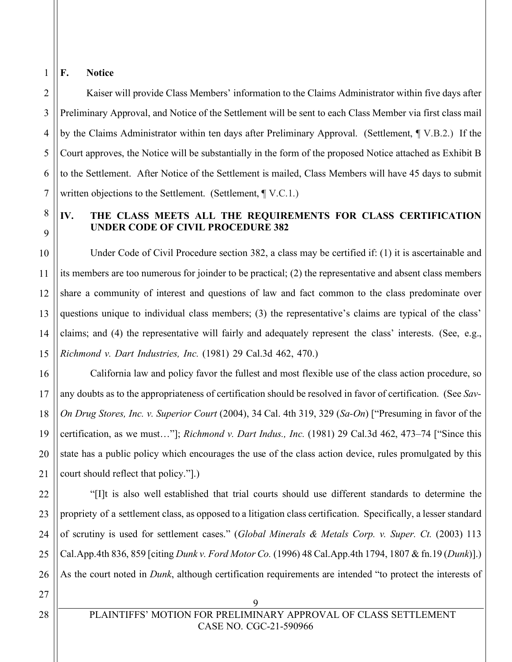#### 1 **F. Notice**

2

3

4

5

6

7

8

9

10

11

12

13

14

15

17

18

19

20

21

Kaiser will provide Class Members' information to the Claims Administrator within five days after Preliminary Approval, and Notice of the Settlement will be sent to each Class Member via first class mail by the Claims Administrator within ten days after Preliminary Approval. (Settlement, ¶ V.B.2.) If the Court approves, the Notice will be substantially in the form of the proposed Notice attached as Exhibit B to the Settlement. After Notice of the Settlement is mailed, Class Members will have 45 days to submit written objections to the Settlement. (Settlement, ¶ V.C.1.)

### **IV. THE CLASS MEETS ALL THE REQUIREMENTS FOR CLASS CERTIFICATION UNDER CODE OF CIVIL PROCEDURE 382**

Under Code of Civil Procedure section 382, a class may be certified if: (1) it is ascertainable and its members are too numerous for joinder to be practical; (2) the representative and absent class members share a community of interest and questions of law and fact common to the class predominate over questions unique to individual class members; (3) the representative's claims are typical of the class' claims; and (4) the representative will fairly and adequately represent the class' interests. (See, e.g., *Richmond v. Dart Industries, Inc.* (1981) 29 Cal.3d 462, 470.)

16 California law and policy favor the fullest and most flexible use of the class action procedure, so any doubts as to the appropriateness of certification should be resolved in favor of certification. (See *Sav-On Drug Stores, Inc. v. Superior Court* (2004), 34 Cal. 4th 319, 329 (*Sa-On*) ["Presuming in favor of the certification, as we must…"]; *Richmond v. Dart Indus., Inc.* (1981) 29 Cal.3d 462, 473–74 ["Since this state has a public policy which encourages the use of the class action device, rules promulgated by this court should reflect that policy."].)

22 23 24 "[I]t is also well established that trial courts should use different standards to determine the propriety of a settlement class, as opposed to a litigation class certification. Specifically, a lesser standard of scrutiny is used for settlement cases." (*Global Minerals & Metals Corp. v. Super. Ct.* (2003) 113 Cal.App.4th 836, 859 [citing *Dunk v. Ford Motor Co.* (1996) 48 Cal.App.4th 1794, 1807 & fn.19 (*Dunk*)].) As the court noted in *Dunk*, although certification requirements are intended "to protect the interests of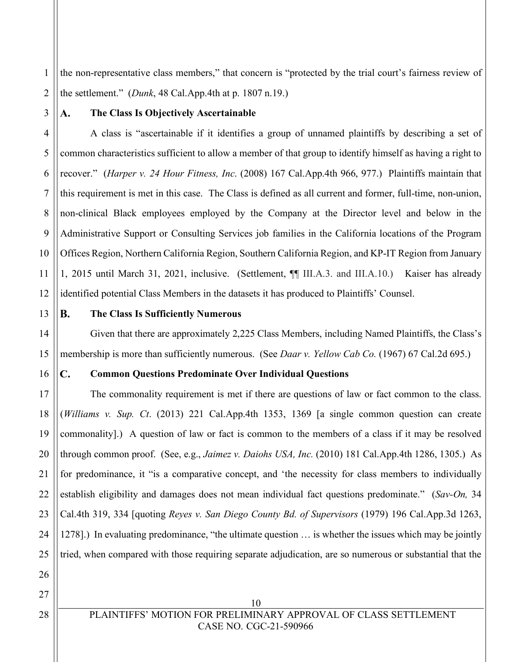1 2 the non-representative class members," that concern is "protected by the trial court's fairness review of the settlement." (*Dunk*, 48 Cal.App.4th at p. 1807 n.19.)

3

 $\mathbf{A}$ .

### **The Class Is Objectively Ascertainable**

4 5 6 7 8 9 10 11 12 A class is "ascertainable if it identifies a group of unnamed plaintiffs by describing a set of common characteristics sufficient to allow a member of that group to identify himself as having a right to recover." (*Harper v. 24 Hour Fitness, Inc*. (2008) 167 Cal.App.4th 966, 977.) Plaintiffs maintain that this requirement is met in this case. The Class is defined as all current and former, full-time, non-union, non-clinical Black employees employed by the Company at the Director level and below in the Administrative Support or Consulting Services job families in the California locations of the Program Offices Region, Northern California Region, Southern California Region, and KP-IT Region from January 1, 2015 until March 31, 2021, inclusive. (Settlement, ¶¶ III.A.3. and III.A.10.) Kaiser has already identified potential Class Members in the datasets it has produced to Plaintiffs' Counsel.

13 14

15

16

#### **B. The Class Is Sufficiently Numerous**

Given that there are approximately 2,225 Class Members, including Named Plaintiffs, the Class's membership is more than sufficiently numerous. (See *Daar v. Yellow Cab Co.* (1967) 67 Cal.2d 695.)

#### $\mathbf{C}$ . **Common Questions Predominate Over Individual Questions**

17 18 19 20 21 22 23 24 25 The commonality requirement is met if there are questions of law or fact common to the class. (*Williams v. Sup. Ct*. (2013) 221 Cal.App.4th 1353, 1369 [a single common question can create commonality].) A question of law or fact is common to the members of a class if it may be resolved through common proof. (See, e.g., *Jaimez v. Daiohs USA, Inc.* (2010) 181 Cal.App.4th 1286, 1305.) As for predominance, it "is a comparative concept, and 'the necessity for class members to individually establish eligibility and damages does not mean individual fact questions predominate." (*Sav-On,* 34 Cal.4th 319, 334 [quoting *Reyes v. San Diego County Bd. of Supervisors* (1979) 196 Cal.App.3d 1263, 1278].) In evaluating predominance, "the ultimate question … is whether the issues which may be jointly tried, when compared with those requiring separate adjudication, are so numerous or substantial that the

27

28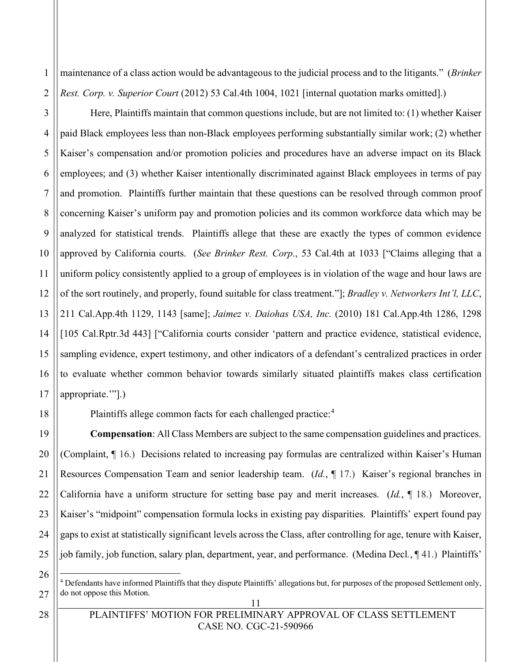2 maintenance of a class action would be advantageous to the judicial process and to the litigants." (*Brinker Rest. Corp. v. Superior Court* (2012) 53 Cal.4th 1004, 1021 [internal quotation marks omitted].)

Here, Plaintiffs maintain that common questions include, but are not limited to: (1) whether Kaiser paid Black employees less than non-Black employees performing substantially similar work; (2) whether Kaiser's compensation and/or promotion policies and procedures have an adverse impact on its Black employees; and (3) whether Kaiser intentionally discriminated against Black employees in terms of pay and promotion. Plaintiffs further maintain that these questions can be resolved through common proof concerning Kaiser's uniform pay and promotion policies and its common workforce data which may be analyzed for statistical trends. Plaintiffs allege that these are exactly the types of common evidence approved by California courts. (*See Brinker Rest. Corp.*, 53 Cal.4th at 1033 ["Claims alleging that a uniform policy consistently applied to a group of employees is in violation of the wage and hour laws are of the sort routinely, and properly, found suitable for class treatment."]; *Bradley v. Networkers Int'l, LLC*, 211 Cal.App.4th 1129, 1143 [same]; *Jaimez v. Daiohas USA, Inc.* (2010) 181 Cal.App.4th 1286, 1298 [105 Cal.Rptr.3d 443] ["California courts consider 'pattern and practice evidence, statistical evidence, sampling evidence, expert testimony, and other indicators of a defendant's centralized practices in order to evaluate whether common behavior towards similarly situated plaintiffs makes class certification appropriate.'"].)

Plaintiffs allege common facts for each challenged practice:<sup>4</sup>

19 20 22 23 24 25 **Compensation**: All Class Members are subject to the same compensation guidelines and practices. (Complaint, ¶ 16.) Decisions related to increasing pay formulas are centralized within Kaiser's Human Resources Compensation Team and senior leadership team. (*Id.*, ¶ 17.) Kaiser's regional branches in California have a uniform structure for setting base pay and merit increases. (*Id.*, ¶ 18.) Moreover, Kaiser's "midpoint" compensation formula locks in existing pay disparities. Plaintiffs' expert found pay gaps to exist at statistically significant levels across the Class, after controlling for age, tenure with Kaiser, job family, job function, salary plan, department, year, and performance. (Medina Decl*.*, ¶ 41.) Plaintiffs'

<sup>4</sup> Defendants have informed Plaintiffs that they dispute Plaintiffs' allegations but, for purposes of the proposed Settlement only, do not oppose this Motion.

27 28

26

1

3

4

5

6

7

8

9

10

11

12

13

14

15

16

17

18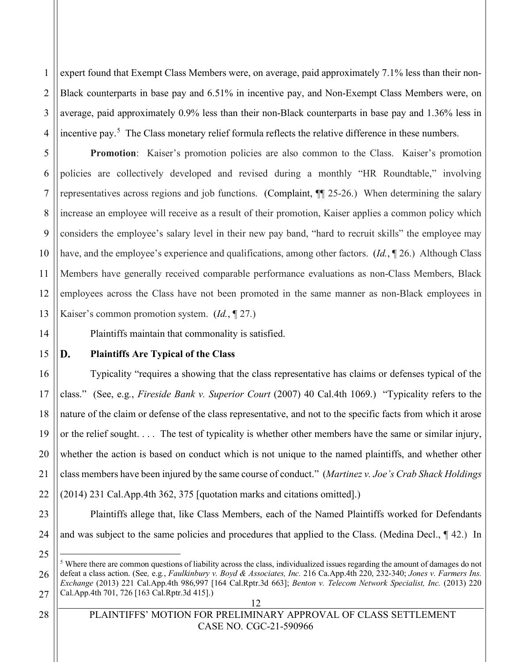1 2 3 4 expert found that Exempt Class Members were, on average, paid approximately 7.1% less than their non-Black counterparts in base pay and 6.51% in incentive pay, and Non-Exempt Class Members were, on average, paid approximately 0.9% less than their non-Black counterparts in base pay and 1.36% less in incentive pay.<sup>5</sup> The Class monetary relief formula reflects the relative difference in these numbers.

5 7 10 12 13 **Promotion:** Kaiser's promotion policies are also common to the Class. Kaiser's promotion policies are collectively developed and revised during a monthly "HR Roundtable," involving representatives across regions and job functions. (Complaint, ¶¶ 25-26.) When determining the salary increase an employee will receive as a result of their promotion, Kaiser applies a common policy which considers the employee's salary level in their new pay band, "hard to recruit skills" the employee may have, and the employee's experience and qualifications, among other factors. (*Id.*, ¶ 26.) Although Class Members have generally received comparable performance evaluations as non-Class Members, Black employees across the Class have not been promoted in the same manner as non-Black employees in Kaiser's common promotion system. (*Id.*, ¶ 27.)

Plaintiffs maintain that commonality is satisfied.

15

16

17

18

19

20

21

22

14

6

8

9

11

#### D. **Plaintiffs Are Typical of the Class**

Typicality "requires a showing that the class representative has claims or defenses typical of the class." (See, e.g*.*, *Fireside Bank v. Superior Court* (2007) 40 Cal.4th 1069.) "Typicality refers to the nature of the claim or defense of the class representative, and not to the specific facts from which it arose or the relief sought. . . . The test of typicality is whether other members have the same or similar injury, whether the action is based on conduct which is not unique to the named plaintiffs, and whether other class members have been injured by the same course of conduct." (*Martinez v. Joe's Crab Shack Holdings*  (2014) 231 Cal.App.4th 362, 375 [quotation marks and citations omitted].)

23 24 Plaintiffs allege that, like Class Members, each of the Named Plaintiffs worked for Defendants and was subject to the same policies and procedures that applied to the Class. (Medina Decl., ¶ 42.) In

12

<sup>26</sup> 27  $<sup>5</sup>$  Where there are common questions of liability across the class, individualized issues regarding the amount of damages do not</sup> defeat a class action. (See*,* e.g*.*, *Faulkinbury v. Boyd & Associates, Inc.* 216 Ca.App.4th 220, 232-340; *Jones v. Farmers Ins. Exchange* (2013) 221 Cal.App.4th 986,997 [164 Cal.Rptr.3d 663]; *Benton v. Telecom Network Specialist, Inc.* (2013) 220 Cal.App.4th 701, 726 [163 Cal.Rptr.3d 415].)

PLAINTIFFS' MOTION FOR PRELIMINARY APPROVAL OF CLASS SETTLEMENT CASE NO. CGC-21-590966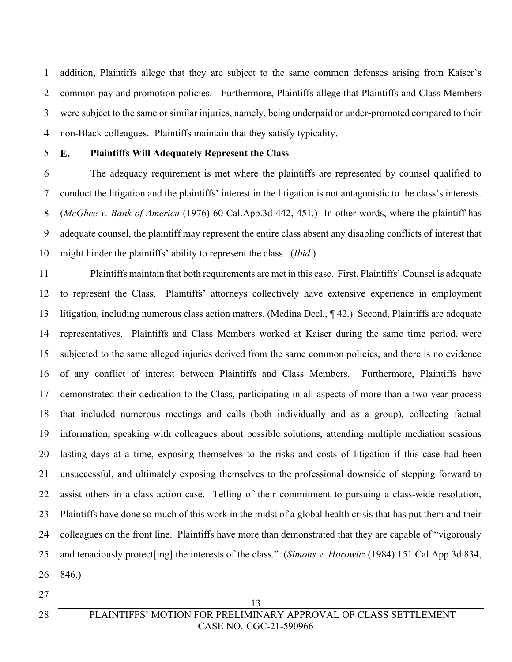1 2 3 4 addition, Plaintiffs allege that they are subject to the same common defenses arising from Kaiser's common pay and promotion policies. Furthermore, Plaintiffs allege that Plaintiffs and Class Members were subject to the same or similar injuries, namely, being underpaid or under-promoted compared to their non-Black colleagues. Plaintiffs maintain that they satisfy typicality.

#### 5 E.

6

7

8

9

10

### **Plaintiffs Will Adequately Represent the Class**

The adequacy requirement is met where the plaintiffs are represented by counsel qualified to conduct the litigation and the plaintiffs' interest in the litigation is not antagonistic to the class's interests. (*McGhee v. Bank of America* (1976) 60 Cal.App.3d 442, 451.) In other words, where the plaintiff has adequate counsel, the plaintiff may represent the entire class absent any disabling conflicts of interest that might hinder the plaintiffs' ability to represent the class. (*Ibid.*)

11 12 13 14 15 16 17 18 19 20 21 22 23 24 25 26 Plaintiffs maintain that both requirements are met in this case. First, Plaintiffs' Counsel is adequate to represent the Class. Plaintiffs' attorneys collectively have extensive experience in employment litigation, including numerous class action matters. (Medina Decl., ¶ 42.) Second, Plaintiffs are adequate representatives. Plaintiffs and Class Members worked at Kaiser during the same time period, were subjected to the same alleged injuries derived from the same common policies, and there is no evidence of any conflict of interest between Plaintiffs and Class Members. Furthermore, Plaintiffs have demonstrated their dedication to the Class, participating in all aspects of more than a two-year process that included numerous meetings and calls (both individually and as a group), collecting factual information, speaking with colleagues about possible solutions, attending multiple mediation sessions lasting days at a time, exposing themselves to the risks and costs of litigation if this case had been unsuccessful, and ultimately exposing themselves to the professional downside of stepping forward to assist others in a class action case. Telling of their commitment to pursuing a class-wide resolution, Plaintiffs have done so much of this work in the midst of a global health crisis that has put them and their colleagues on the front line. Plaintiffs have more than demonstrated that they are capable of "vigorously and tenaciously protect[ing] the interests of the class." (*Simons v. Horowitz* (1984) 151 Cal.App.3d 834, 846.)

27

PLAINTIFFS' MOTION FOR PRELIMINARY APPROVAL OF CLASS SETTLEMENT CASE NO. CGC-21-590966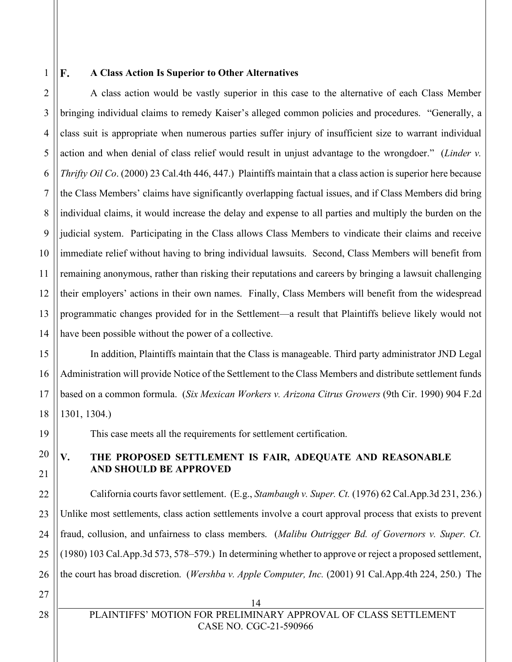1

F.

8

9

11

19

20

21

22

23

24

25

26

#### **A Class Action Is Superior to Other Alternatives**

2 3 4 5 6 7 10 12 13 14 A class action would be vastly superior in this case to the alternative of each Class Member bringing individual claims to remedy Kaiser's alleged common policies and procedures. "Generally, a class suit is appropriate when numerous parties suffer injury of insufficient size to warrant individual action and when denial of class relief would result in unjust advantage to the wrongdoer." (*Linder v. Thrifty Oil Co*. (2000) 23 Cal.4th 446, 447.) Plaintiffs maintain that a class action is superior here because the Class Members' claims have significantly overlapping factual issues, and if Class Members did bring individual claims, it would increase the delay and expense to all parties and multiply the burden on the judicial system. Participating in the Class allows Class Members to vindicate their claims and receive immediate relief without having to bring individual lawsuits. Second, Class Members will benefit from remaining anonymous, rather than risking their reputations and careers by bringing a lawsuit challenging their employers' actions in their own names. Finally, Class Members will benefit from the widespread programmatic changes provided for in the Settlement—a result that Plaintiffs believe likely would not have been possible without the power of a collective.

15 16 17 18 In addition, Plaintiffs maintain that the Class is manageable. Third party administrator JND Legal Administration will provide Notice of the Settlement to the Class Members and distribute settlement funds based on a common formula. (*Six Mexican Workers v. Arizona Citrus Growers* (9th Cir. 1990) 904 F.2d 1301, 1304.)

This case meets all the requirements for settlement certification.

### **V. THE PROPOSED SETTLEMENT IS FAIR, ADEQUATE AND REASONABLE AND SHOULD BE APPROVED**

California courts favor settlement. (E.g., *Stambaugh v. Super. Ct.* (1976) 62 Cal.App.3d 231, 236.) Unlike most settlements, class action settlements involve a court approval process that exists to prevent fraud, collusion, and unfairness to class members. (*Malibu Outrigger Bd. of Governors v. Super. Ct.* (1980) 103 Cal.App.3d 573, 578–579.) In determining whether to approve or reject a proposed settlement, the court has broad discretion. (*Wershba v. Apple Computer, Inc.* (2001) 91 Cal.App.4th 224, 250.) The

27

14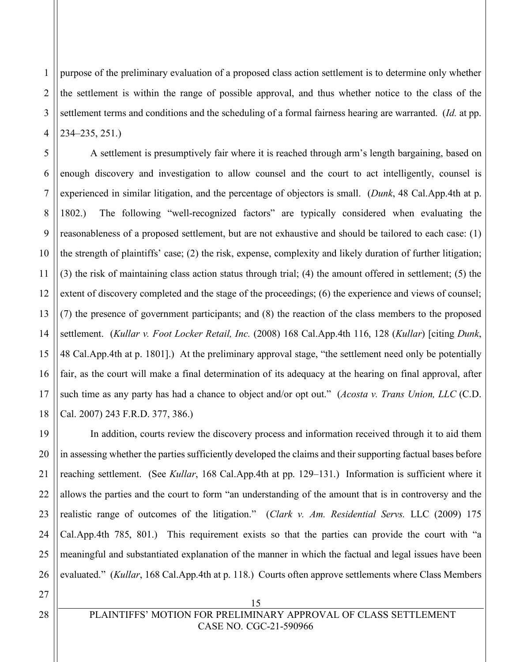1 2 3 4 purpose of the preliminary evaluation of a proposed class action settlement is to determine only whether the settlement is within the range of possible approval, and thus whether notice to the class of the settlement terms and conditions and the scheduling of a formal fairness hearing are warranted. (*Id.* at pp. 234–235, 251.)

5 6 7 8 9 10 11 12 13 14 15 16 17 18 A settlement is presumptively fair where it is reached through arm's length bargaining, based on enough discovery and investigation to allow counsel and the court to act intelligently, counsel is experienced in similar litigation, and the percentage of objectors is small. (*Dunk*, 48 Cal.App.4th at p. 1802.) The following "well-recognized factors" are typically considered when evaluating the reasonableness of a proposed settlement, but are not exhaustive and should be tailored to each case: (1) the strength of plaintiffs' case; (2) the risk, expense, complexity and likely duration of further litigation; (3) the risk of maintaining class action status through trial; (4) the amount offered in settlement; (5) the extent of discovery completed and the stage of the proceedings; (6) the experience and views of counsel; (7) the presence of government participants; and (8) the reaction of the class members to the proposed settlement. (*Kullar v. Foot Locker Retail, Inc.* (2008) 168 Cal.App.4th 116, 128 (*Kullar*) [citing *Dunk*, 48 Cal.App.4th at p. 1801].) At the preliminary approval stage, "the settlement need only be potentially fair, as the court will make a final determination of its adequacy at the hearing on final approval, after such time as any party has had a chance to object and/or opt out." (*Acosta v. Trans Union, LLC* (C.D. Cal. 2007) 243 F.R.D. 377, 386.)

19 20 21 22 23 24 25 26 In addition, courts review the discovery process and information received through it to aid them in assessing whether the parties sufficiently developed the claims and their supporting factual bases before reaching settlement. (See *Kullar*, 168 Cal.App.4th at pp. 129–131.) Information is sufficient where it allows the parties and the court to form "an understanding of the amount that is in controversy and the realistic range of outcomes of the litigation." (*Clark v. Am. Residential Servs.* LLC (2009) 175 Cal.App.4th 785, 801.) This requirement exists so that the parties can provide the court with "a meaningful and substantiated explanation of the manner in which the factual and legal issues have been evaluated." (*Kullar*, 168 Cal.App.4th at p. 118.) Courts often approve settlements where Class Members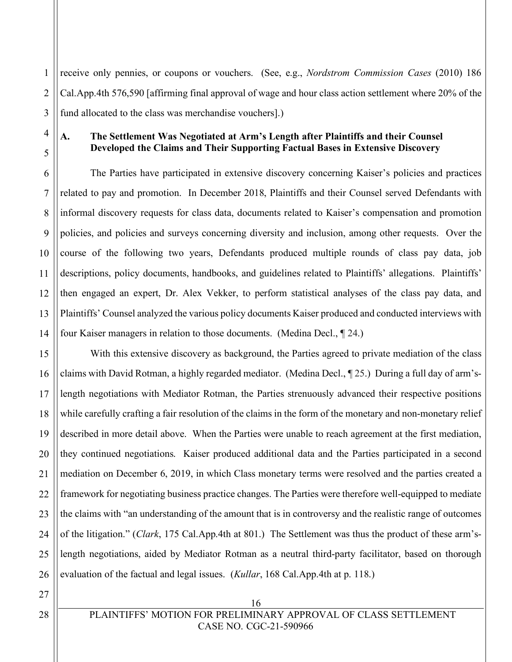1 2 3 receive only pennies, or coupons or vouchers. (See, e.g., *Nordstrom Commission Cases* (2010) 186 Cal.App.4th 576,590 [affirming final approval of wage and hour class action settlement where 20% of the fund allocated to the class was merchandise vouchers].)

## 4 5

6

7

8

9

10

11

12

13

14

#### **A. The Settlement Was Negotiated at Arm's Length after Plaintiffs and their Counsel Developed the Claims and Their Supporting Factual Bases in Extensive Discovery**

The Parties have participated in extensive discovery concerning Kaiser's policies and practices related to pay and promotion. In December 2018, Plaintiffs and their Counsel served Defendants with informal discovery requests for class data, documents related to Kaiser's compensation and promotion policies, and policies and surveys concerning diversity and inclusion, among other requests. Over the course of the following two years, Defendants produced multiple rounds of class pay data, job descriptions, policy documents, handbooks, and guidelines related to Plaintiffs' allegations. Plaintiffs' then engaged an expert, Dr. Alex Vekker, to perform statistical analyses of the class pay data, and Plaintiffs' Counsel analyzed the various policy documents Kaiser produced and conducted interviews with four Kaiser managers in relation to those documents. (Medina Decl., ¶ 24.)

15 16 17 18 19 20 21 22 23 24 25 26 With this extensive discovery as background, the Parties agreed to private mediation of the class claims with David Rotman, a highly regarded mediator. (Medina Decl., ¶ 25.) During a full day of arm'slength negotiations with Mediator Rotman, the Parties strenuously advanced their respective positions while carefully crafting a fair resolution of the claims in the form of the monetary and non-monetary relief described in more detail above. When the Parties were unable to reach agreement at the first mediation, they continued negotiations. Kaiser produced additional data and the Parties participated in a second mediation on December 6, 2019, in which Class monetary terms were resolved and the parties created a framework for negotiating business practice changes. The Parties were therefore well-equipped to mediate the claims with "an understanding of the amount that is in controversy and the realistic range of outcomes of the litigation." (*Clark*, 175 Cal.App.4th at 801.) The Settlement was thus the product of these arm'slength negotiations, aided by Mediator Rotman as a neutral third-party facilitator, based on thorough evaluation of the factual and legal issues. (*Kullar*, 168 Cal.App.4th at p. 118.)

27

PLAINTIFFS' MOTION FOR PRELIMINARY APPROVAL OF CLASS SETTLEMENT CASE NO. CGC-21-590966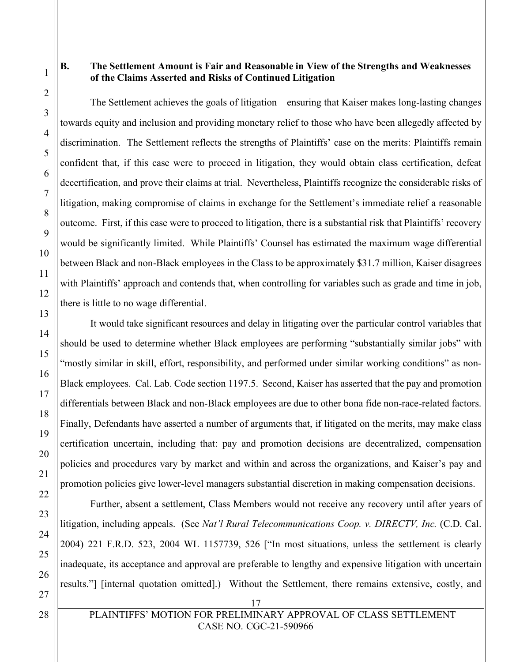#### **B. The Settlement Amount is Fair and Reasonable in View of the Strengths and Weaknesses of the Claims Asserted and Risks of Continued Litigation**

The Settlement achieves the goals of litigation—ensuring that Kaiser makes long-lasting changes towards equity and inclusion and providing monetary relief to those who have been allegedly affected by discrimination. The Settlement reflects the strengths of Plaintiffs' case on the merits: Plaintiffs remain confident that, if this case were to proceed in litigation, they would obtain class certification, defeat decertification, and prove their claims at trial. Nevertheless, Plaintiffs recognize the considerable risks of litigation, making compromise of claims in exchange for the Settlement's immediate relief a reasonable outcome. First, if this case were to proceed to litigation, there is a substantial risk that Plaintiffs' recovery would be significantly limited. While Plaintiffs' Counsel has estimated the maximum wage differential between Black and non-Black employees in the Class to be approximately \$31.7 million, Kaiser disagrees with Plaintiffs' approach and contends that, when controlling for variables such as grade and time in job, there is little to no wage differential.

It would take significant resources and delay in litigating over the particular control variables that should be used to determine whether Black employees are performing "substantially similar jobs" with "mostly similar in skill, effort, responsibility, and performed under similar working conditions" as non-Black employees. Cal. Lab. Code section 1197.5. Second, Kaiser has asserted that the pay and promotion differentials between Black and non-Black employees are due to other bona fide non-race-related factors. Finally, Defendants have asserted a number of arguments that, if litigated on the merits, may make class certification uncertain, including that: pay and promotion decisions are decentralized, compensation policies and procedures vary by market and within and across the organizations, and Kaiser's pay and promotion policies give lower-level managers substantial discretion in making compensation decisions.

Further, absent a settlement, Class Members would not receive any recovery until after years of litigation, including appeals. (See *Nat'l Rural Telecommunications Coop. v. DIRECTV, Inc.* (C.D. Cal. 2004) 221 F.R.D. 523, 2004 WL 1157739, 526 ["In most situations, unless the settlement is clearly inadequate, its acceptance and approval are preferable to lengthy and expensive litigation with uncertain results."] [internal quotation omitted].) Without the Settlement, there remains extensive, costly, and

PLAINTIFFS' MOTION FOR PRELIMINARY APPROVAL OF CLASS SETTLEMENT CASE NO. CGC-21-590966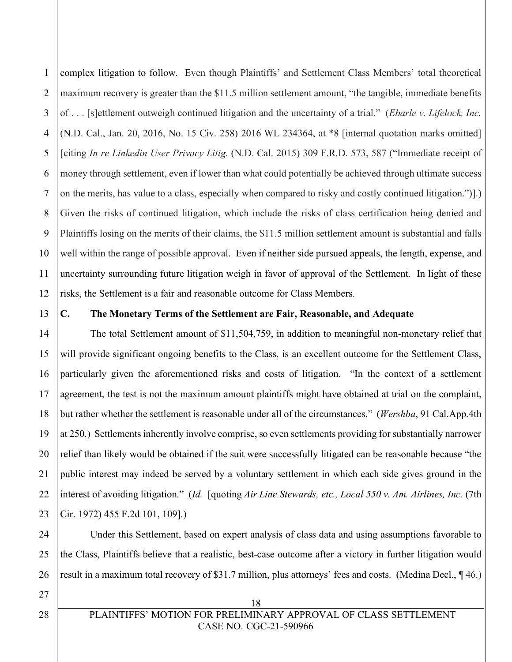1 2 3 4 5 6 7 8 9 10 11 12 complex litigation to follow. Even though Plaintiffs' and Settlement Class Members' total theoretical maximum recovery is greater than the \$11.5 million settlement amount, "the tangible, immediate benefits of . . . [s]ettlement outweigh continued litigation and the uncertainty of a trial." (*Ebarle v. Lifelock, Inc.* (N.D. Cal., Jan. 20, 2016, No. 15 Civ. 258) 2016 WL 234364, at \*8 [internal quotation marks omitted] [citing *In re Linkedin User Privacy Litig.* (N.D. Cal. 2015) 309 F.R.D. 573, 587 ("Immediate receipt of money through settlement, even if lower than what could potentially be achieved through ultimate success on the merits, has value to a class, especially when compared to risky and costly continued litigation.")].) Given the risks of continued litigation, which include the risks of class certification being denied and Plaintiffs losing on the merits of their claims, the \$11.5 million settlement amount is substantial and falls well within the range of possible approval. Even if neither side pursued appeals, the length, expense, and uncertainty surrounding future litigation weigh in favor of approval of the Settlement. In light of these risks, the Settlement is a fair and reasonable outcome for Class Members.

13 14

### **C. The Monetary Terms of the Settlement are Fair, Reasonable, and Adequate**

15 16 17 18 19 20 21 22 23 The total Settlement amount of \$11,504,759, in addition to meaningful non-monetary relief that will provide significant ongoing benefits to the Class, is an excellent outcome for the Settlement Class, particularly given the aforementioned risks and costs of litigation. "In the context of a settlement agreement, the test is not the maximum amount plaintiffs might have obtained at trial on the complaint, but rather whether the settlement is reasonable under all of the circumstances." (*Wershba*, 91 Cal.App.4th at 250.) Settlements inherently involve comprise, so even settlements providing for substantially narrower relief than likely would be obtained if the suit were successfully litigated can be reasonable because "the public interest may indeed be served by a voluntary settlement in which each side gives ground in the interest of avoiding litigation." (*Id.* [quoting *Air Line Stewards, etc., Local 550 v. Am. Airlines, Inc.* (7th Cir. 1972) 455 F.2d 101, 109].)

Under this Settlement, based on expert analysis of class data and using assumptions favorable to the Class, Plaintiffs believe that a realistic, best-case outcome after a victory in further litigation would result in a maximum total recovery of \$31.7 million, plus attorneys' fees and costs. (Medina Decl., ¶ 46.)

27

24

25

26

18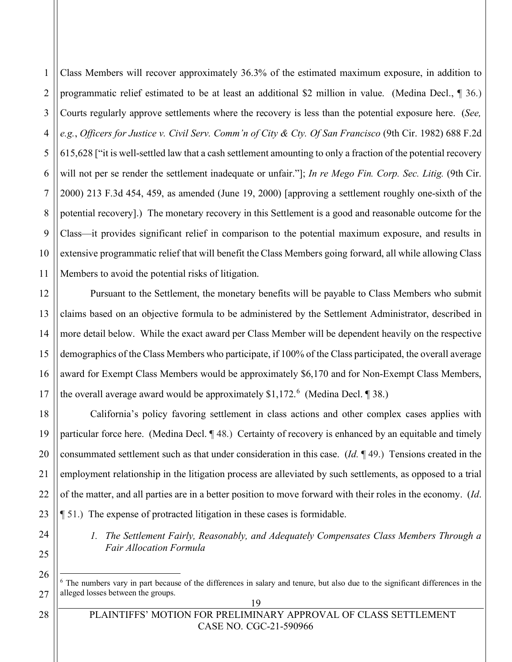1 2 3 4 5 6 7 8 9 10 11 Class Members will recover approximately 36.3% of the estimated maximum exposure, in addition to programmatic relief estimated to be at least an additional \$2 million in value. (Medina Decl., ¶ 36.) Courts regularly approve settlements where the recovery is less than the potential exposure here. (*See, e.g.*, *Officers for Justice v. Civil Serv. Comm'n of City & Cty. Of San Francisco* (9th Cir. 1982) 688 F.2d 615,628 ["it is well-settled law that a cash settlement amounting to only a fraction of the potential recovery will not per se render the settlement inadequate or unfair."]; *In re Mego Fin. Corp. Sec. Litig.* (9th Cir. 2000) 213 F.3d 454, 459, as amended (June 19, 2000) [approving a settlement roughly one-sixth of the potential recovery].) The monetary recovery in this Settlement is a good and reasonable outcome for the Class—it provides significant relief in comparison to the potential maximum exposure, and results in extensive programmatic relief that will benefit the Class Members going forward, all while allowing Class Members to avoid the potential risks of litigation.

Pursuant to the Settlement, the monetary benefits will be payable to Class Members who submit claims based on an objective formula to be administered by the Settlement Administrator, described in more detail below. While the exact award per Class Member will be dependent heavily on the respective demographics of the Class Members who participate, if 100% of the Class participated, the overall average award for Exempt Class Members would be approximately \$6,170 and for Non-Exempt Class Members, the overall average award would be approximately  $$1,172$ . (Medina Decl. 138.)

California's policy favoring settlement in class actions and other complex cases applies with particular force here. (Medina Decl. ¶ 48.) Certainty of recovery is enhanced by an equitable and timely consummated settlement such as that under consideration in this case. (*Id.* ¶ 49.) Tensions created in the employment relationship in the litigation process are alleviated by such settlements, as opposed to a trial of the matter, and all parties are in a better position to move forward with their roles in the economy. (*Id*. ¶ 51.) The expense of protracted litigation in these cases is formidable.

*1. The Settlement Fairly, Reasonably, and Adequately Compensates Class Members Through a Fair Allocation Formula*

12

13

14

15

16

<sup>&</sup>lt;sup>6</sup> The numbers vary in part because of the differences in salary and tenure, but also due to the significant differences in the alleged losses between the groups.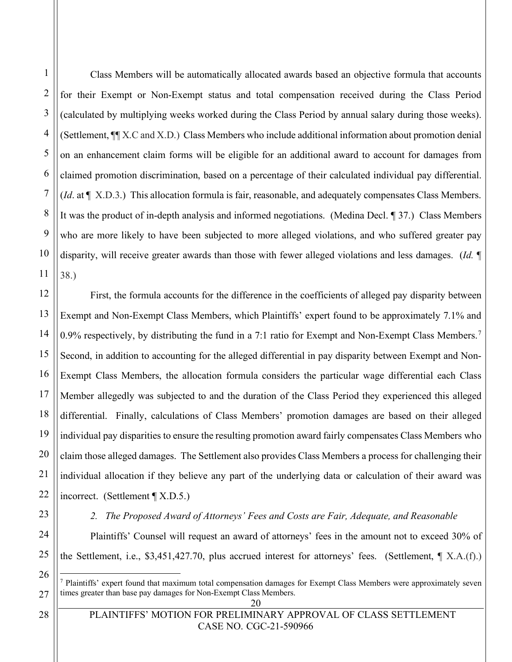1

Class Members will be automatically allocated awards based an objective formula that accounts for their Exempt or Non-Exempt status and total compensation received during the Class Period (calculated by multiplying weeks worked during the Class Period by annual salary during those weeks). (Settlement, ¶¶ X.C and X.D.) Class Members who include additional information about promotion denial on an enhancement claim forms will be eligible for an additional award to account for damages from claimed promotion discrimination, based on a percentage of their calculated individual pay differential. (*Id*. at ¶ X.D.3.) This allocation formula is fair, reasonable, and adequately compensates Class Members. It was the product of in-depth analysis and informed negotiations. (Medina Decl. ¶ 37.) Class Members who are more likely to have been subjected to more alleged violations, and who suffered greater pay disparity, will receive greater awards than those with fewer alleged violations and less damages. (*Id.* ¶ 38.)

First, the formula accounts for the difference in the coefficients of alleged pay disparity between Exempt and Non-Exempt Class Members, which Plaintiffs' expert found to be approximately 7.1% and 0.9% respectively, by distributing the fund in a 7:1 ratio for Exempt and Non-Exempt Class Members.<sup>7</sup> Second, in addition to accounting for the alleged differential in pay disparity between Exempt and Non-Exempt Class Members, the allocation formula considers the particular wage differential each Class Member allegedly was subjected to and the duration of the Class Period they experienced this alleged differential. Finally, calculations of Class Members' promotion damages are based on their alleged individual pay disparities to ensure the resulting promotion award fairly compensates Class Members who claim those alleged damages. The Settlement also provides Class Members a process for challenging their individual allocation if they believe any part of the underlying data or calculation of their award was incorrect. (Settlement ¶ X.D.5.)

*2. The Proposed Award of Attorneys' Fees and Costs are Fair, Adequate, and Reasonable* 

Plaintiffs' Counsel will request an award of attorneys' fees in the amount not to exceed 30% of the Settlement, i.e., \$3,451,427.70, plus accrued interest for attorneys' fees. (Settlement, ¶ X.A.(f).)

<sup>7</sup> Plaintiffs' expert found that maximum total compensation damages for Exempt Class Members were approximately seven times greater than base pay damages for Non-Exempt Class Members.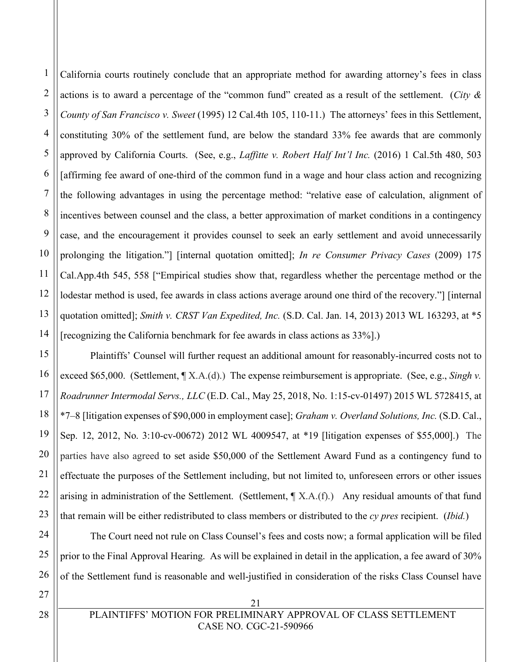1 2 3 4 5 6 7 8 9 10 11 12 13 14 California courts routinely conclude that an appropriate method for awarding attorney's fees in class actions is to award a percentage of the "common fund" created as a result of the settlement. (*City & County of San Francisco v. Sweet* (1995) 12 Cal.4th 105, 110-11.) The attorneys' fees in this Settlement, constituting 30% of the settlement fund, are below the standard 33% fee awards that are commonly approved by California Courts. (See, e.g., *Laffitte v. Robert Half Int'l Inc.* (2016) 1 Cal.5th 480, 503 [affirming fee award of one-third of the common fund in a wage and hour class action and recognizing the following advantages in using the percentage method: "relative ease of calculation, alignment of incentives between counsel and the class, a better approximation of market conditions in a contingency case, and the encouragement it provides counsel to seek an early settlement and avoid unnecessarily prolonging the litigation."] [internal quotation omitted]; *In re Consumer Privacy Cases* (2009) 175 Cal.App.4th 545, 558 ["Empirical studies show that, regardless whether the percentage method or the lodestar method is used, fee awards in class actions average around one third of the recovery."] [internal quotation omitted]; *Smith v. CRST Van Expedited, Inc.* (S.D. Cal. Jan. 14, 2013) 2013 WL 163293, at \*5 [recognizing the California benchmark for fee awards in class actions as 33%].)

15 Plaintiffs' Counsel will further request an additional amount for reasonably-incurred costs not to exceed \$65,000. (Settlement, ¶ X.A.(d).) The expense reimbursement is appropriate. (See, e.g., *Singh v. Roadrunner Intermodal Servs., LLC* (E.D. Cal., May 25, 2018, No. 1:15-cv-01497) 2015 WL 5728415, at \*7–8 [litigation expenses of \$90,000 in employment case]; *Graham v. Overland Solutions, Inc.* (S.D. Cal., Sep. 12, 2012, No. 3:10-cv-00672) 2012 WL 4009547, at \*19 [litigation expenses of \$55,000].) The parties have also agreed to set aside \$50,000 of the Settlement Award Fund as a contingency fund to effectuate the purposes of the Settlement including, but not limited to, unforeseen errors or other issues arising in administration of the Settlement. (Settlement, ¶ X.A.(f).) Any residual amounts of that fund that remain will be either redistributed to class members or distributed to the *cy pres* recipient. (*Ibid.*)

The Court need not rule on Class Counsel's fees and costs now; a formal application will be filed prior to the Final Approval Hearing. As will be explained in detail in the application, a fee award of 30% of the Settlement fund is reasonable and well-justified in consideration of the risks Class Counsel have

21

27

16

17

18

19

20

21

22

23

24

25

26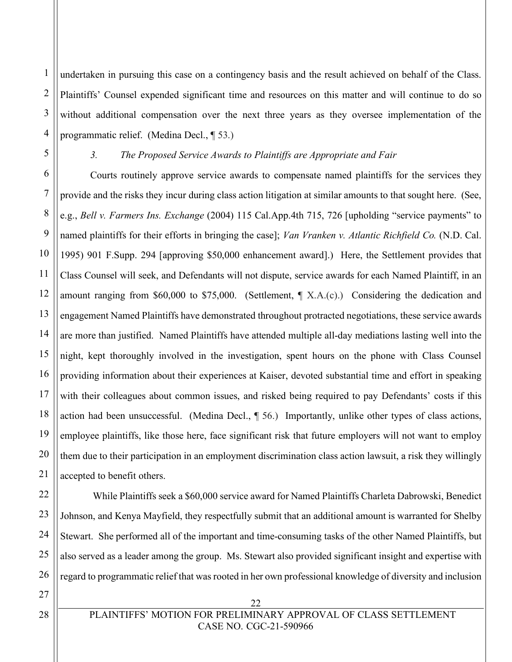1 2 3 4 undertaken in pursuing this case on a contingency basis and the result achieved on behalf of the Class. Plaintiffs' Counsel expended significant time and resources on this matter and will continue to do so without additional compensation over the next three years as they oversee implementation of the programmatic relief. (Medina Decl., ¶ 53.)

5

6

7

8

9

10

11

12

13

15

16

17

18

19

20

21

22

23

24

25

26

27

#### *3. The Proposed Service Awards to Plaintiffs are Appropriate and Fair*

14 Courts routinely approve service awards to compensate named plaintiffs for the services they provide and the risks they incur during class action litigation at similar amounts to that sought here. (See, e.g., *Bell v. Farmers Ins. Exchange* (2004) 115 Cal.App.4th 715, 726 [upholding "service payments" to named plaintiffs for their efforts in bringing the case]; *Van Vranken v. Atlantic Richfield Co.* (N.D. Cal. 1995) 901 F.Supp. 294 [approving \$50,000 enhancement award].) Here, the Settlement provides that Class Counsel will seek, and Defendants will not dispute, service awards for each Named Plaintiff, in an amount ranging from \$60,000 to \$75,000. (Settlement, ¶ X.A.(c).) Considering the dedication and engagement Named Plaintiffs have demonstrated throughout protracted negotiations, these service awards are more than justified. Named Plaintiffs have attended multiple all-day mediations lasting well into the night, kept thoroughly involved in the investigation, spent hours on the phone with Class Counsel providing information about their experiences at Kaiser, devoted substantial time and effort in speaking with their colleagues about common issues, and risked being required to pay Defendants' costs if this action had been unsuccessful. (Medina Decl., ¶ 56.) Importantly, unlike other types of class actions, employee plaintiffs, like those here, face significant risk that future employers will not want to employ them due to their participation in an employment discrimination class action lawsuit, a risk they willingly accepted to benefit others.

While Plaintiffs seek a \$60,000 service award for Named Plaintiffs Charleta Dabrowski, Benedict Johnson, and Kenya Mayfield, they respectfully submit that an additional amount is warranted for Shelby Stewart. She performed all of the important and time-consuming tasks of the other Named Plaintiffs, but also served as a leader among the group. Ms. Stewart also provided significant insight and expertise with regard to programmatic relief that was rooted in her own professional knowledge of diversity and inclusion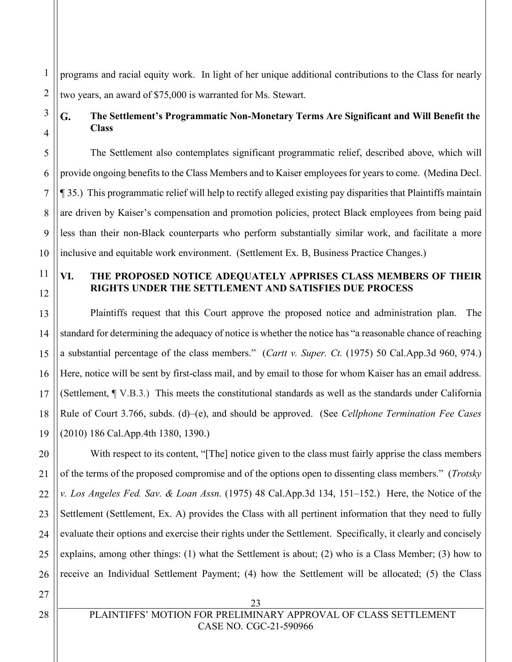1 2 programs and racial equity work. In light of her unique additional contributions to the Class for nearly two years, an award of \$75,000 is warranted for Ms. Stewart.

#### G. **The Settlement's Programmatic Non-Monetary Terms Are Significant and Will Benefit the Class**

The Settlement also contemplates significant programmatic relief, described above, which will provide ongoing benefits to the Class Members and to Kaiser employees for years to come. (Medina Decl. ¶ 35.) This programmatic relief will help to rectify alleged existing pay disparities that Plaintiffs maintain are driven by Kaiser's compensation and promotion policies, protect Black employees from being paid less than their non-Black counterparts who perform substantially similar work, and facilitate a more inclusive and equitable work environment. (Settlement Ex. B, Business Practice Changes.)

# 11

12

13

14

15

16

17

18

19

3

4

5

6

7

8

9

10

### **VI. THE PROPOSED NOTICE ADEQUATELY APPRISES CLASS MEMBERS OF THEIR RIGHTS UNDER THE SETTLEMENT AND SATISFIES DUE PROCESS**

Plaintiffs request that this Court approve the proposed notice and administration plan. The standard for determining the adequacy of notice is whether the notice has "a reasonable chance of reaching a substantial percentage of the class members." (*Cartt v. Super. Ct.* (1975) 50 Cal.App.3d 960, 974.) Here, notice will be sent by first-class mail, and by email to those for whom Kaiser has an email address. (Settlement, ¶ V.B.3.) This meets the constitutional standards as well as the standards under California Rule of Court 3.766, subds. (d)–(e), and should be approved. (See *Cellphone Termination Fee Cases* (2010) 186 Cal.App.4th 1380, 1390.)

20 21 22 23 24 25 26 With respect to its content, "[The] notice given to the class must fairly apprise the class members of the terms of the proposed compromise and of the options open to dissenting class members." (*Trotsky v. Los Angeles Fed. Sav. & Loan Assn.* (1975) 48 Cal.App.3d 134, 151–152.) Here, the Notice of the Settlement (Settlement, Ex. A) provides the Class with all pertinent information that they need to fully evaluate their options and exercise their rights under the Settlement. Specifically, it clearly and concisely explains, among other things: (1) what the Settlement is about; (2) who is a Class Member; (3) how to receive an Individual Settlement Payment; (4) how the Settlement will be allocated; (5) the Class